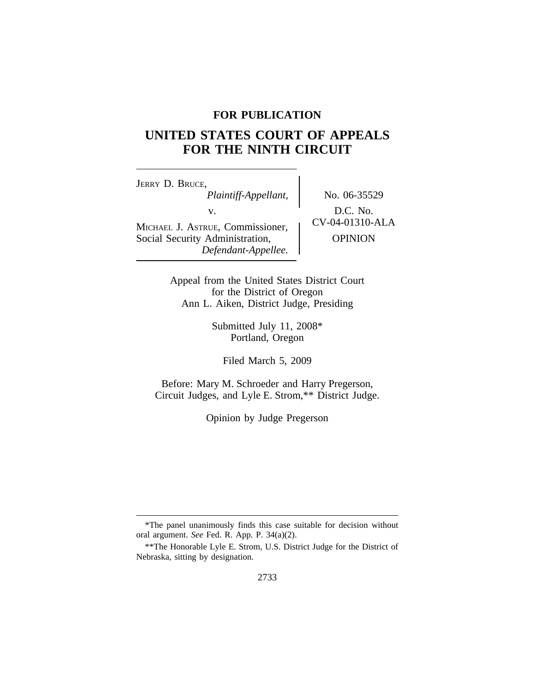## **FOR PUBLICATION**

# **UNITED STATES COURT OF APPEALS FOR THE NINTH CIRCUIT**

<sup>J</sup>ERRY D. BRUCE, *Plaintiff-Appellant,* No. 06-35529 v.  $D.C. No.$ <br>  $CV-04-01310-ALA$ MICHAEL J. ASTRUE, Commissioner, Social Security Administration,  $\qquad$  OPINION *Defendant-Appellee.*

Appeal from the United States District Court for the District of Oregon Ann L. Aiken, District Judge, Presiding

> Submitted July 11, 2008\* Portland, Oregon

Filed March 5, 2009

Before: Mary M. Schroeder and Harry Pregerson, Circuit Judges, and Lyle E. Strom,\*\* District Judge.

Opinion by Judge Pregerson

<sup>\*</sup>The panel unanimously finds this case suitable for decision without oral argument. *See* Fed. R. App. P. 34(a)(2).

<sup>\*\*</sup>The Honorable Lyle E. Strom, U.S. District Judge for the District of Nebraska, sitting by designation.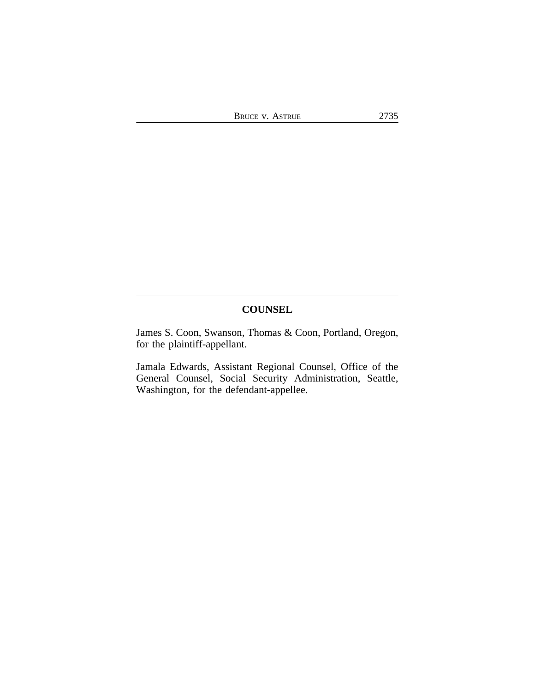## **COUNSEL**

James S. Coon, Swanson, Thomas & Coon, Portland, Oregon, for the plaintiff-appellant.

Jamala Edwards, Assistant Regional Counsel, Office of the General Counsel, Social Security Administration, Seattle, Washington, for the defendant-appellee.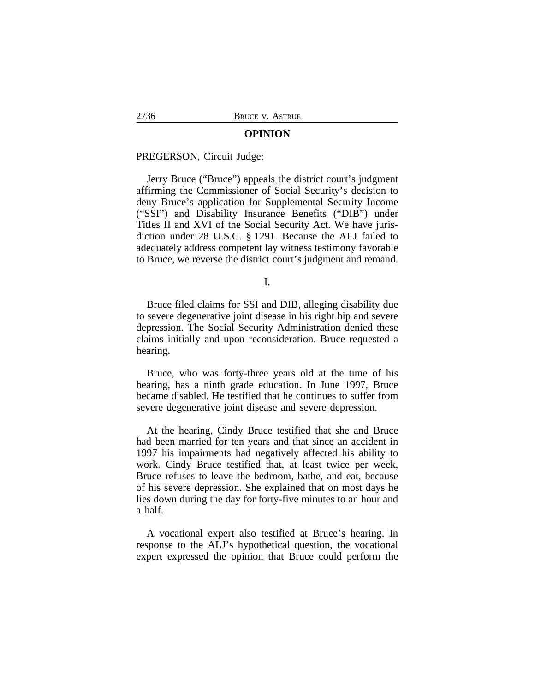#### **OPINION**

#### PREGERSON, Circuit Judge:

Jerry Bruce ("Bruce") appeals the district court's judgment affirming the Commissioner of Social Security's decision to deny Bruce's application for Supplemental Security Income ("SSI") and Disability Insurance Benefits ("DIB") under Titles II and XVI of the Social Security Act. We have jurisdiction under 28 U.S.C. § 1291. Because the ALJ failed to adequately address competent lay witness testimony favorable to Bruce, we reverse the district court's judgment and remand.

I.

Bruce filed claims for SSI and DIB, alleging disability due to severe degenerative joint disease in his right hip and severe depression. The Social Security Administration denied these claims initially and upon reconsideration. Bruce requested a hearing.

Bruce, who was forty-three years old at the time of his hearing, has a ninth grade education. In June 1997, Bruce became disabled. He testified that he continues to suffer from severe degenerative joint disease and severe depression.

At the hearing, Cindy Bruce testified that she and Bruce had been married for ten years and that since an accident in 1997 his impairments had negatively affected his ability to work. Cindy Bruce testified that, at least twice per week, Bruce refuses to leave the bedroom, bathe, and eat, because of his severe depression. She explained that on most days he lies down during the day for forty-five minutes to an hour and a half.

A vocational expert also testified at Bruce's hearing. In response to the ALJ's hypothetical question, the vocational expert expressed the opinion that Bruce could perform the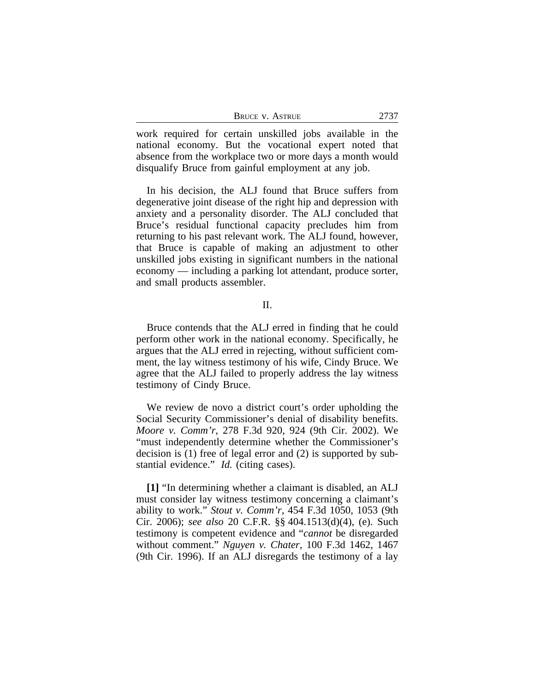| <b>BRUCE V. ASTRUE</b> | 2737 |
|------------------------|------|
|------------------------|------|

work required for certain unskilled jobs available in the national economy. But the vocational expert noted that absence from the workplace two or more days a month would disqualify Bruce from gainful employment at any job.

In his decision, the ALJ found that Bruce suffers from degenerative joint disease of the right hip and depression with anxiety and a personality disorder. The ALJ concluded that Bruce's residual functional capacity precludes him from returning to his past relevant work. The ALJ found, however, that Bruce is capable of making an adjustment to other unskilled jobs existing in significant numbers in the national economy — including a parking lot attendant, produce sorter, and small products assembler.

### II.

Bruce contends that the ALJ erred in finding that he could perform other work in the national economy. Specifically, he argues that the ALJ erred in rejecting, without sufficient comment, the lay witness testimony of his wife, Cindy Bruce. We agree that the ALJ failed to properly address the lay witness testimony of Cindy Bruce.

We review de novo a district court's order upholding the Social Security Commissioner's denial of disability benefits. *Moore v. Comm'r*, 278 F.3d 920, 924 (9th Cir. 2002). We "must independently determine whether the Commissioner's decision is (1) free of legal error and (2) is supported by substantial evidence." *Id.* (citing cases).

**[1]** "In determining whether a claimant is disabled, an ALJ must consider lay witness testimony concerning a claimant's ability to work." *Stout v. Comm'r*, 454 F.3d 1050, 1053 (9th Cir. 2006); *see also* 20 C.F.R. §§ 404.1513(d)(4), (e). Such testimony is competent evidence and "*cannot* be disregarded without comment." *Nguyen v. Chater*, 100 F.3d 1462, 1467 (9th Cir. 1996). If an ALJ disregards the testimony of a lay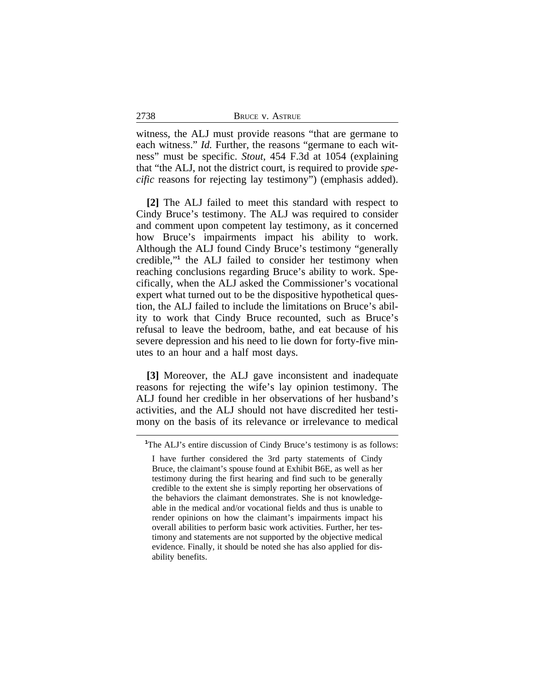witness, the ALJ must provide reasons "that are germane to each witness." *Id.* Further, the reasons "germane to each witness" must be specific. *Stout*, 454 F.3d at 1054 (explaining that "the ALJ, not the district court, is required to provide *specific* reasons for rejecting lay testimony") (emphasis added).

2738

**[2]** The ALJ failed to meet this standard with respect to Cindy Bruce's testimony. The ALJ was required to consider and comment upon competent lay testimony, as it concerned how Bruce's impairments impact his ability to work. Although the ALJ found Cindy Bruce's testimony "generally credible,"<sup>1</sup> the ALJ failed to consider her testimony when reaching conclusions regarding Bruce's ability to work. Specifically, when the ALJ asked the Commissioner's vocational expert what turned out to be the dispositive hypothetical question, the ALJ failed to include the limitations on Bruce's ability to work that Cindy Bruce recounted, such as Bruce's refusal to leave the bedroom, bathe, and eat because of his severe depression and his need to lie down for forty-five minutes to an hour and a half most days.

**[3]** Moreover, the ALJ gave inconsistent and inadequate reasons for rejecting the wife's lay opinion testimony. The ALJ found her credible in her observations of her husband's activities, and the ALJ should not have discredited her testimony on the basis of its relevance or irrelevance to medical

**<sup>1</sup>**The ALJ's entire discussion of Cindy Bruce's testimony is as follows:

I have further considered the 3rd party statements of Cindy Bruce, the claimant's spouse found at Exhibit B6E, as well as her testimony during the first hearing and find such to be generally credible to the extent she is simply reporting her observations of the behaviors the claimant demonstrates. She is not knowledgeable in the medical and/or vocational fields and thus is unable to render opinions on how the claimant's impairments impact his overall abilities to perform basic work activities. Further, her testimony and statements are not supported by the objective medical evidence. Finally, it should be noted she has also applied for disability benefits.